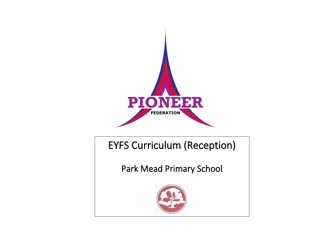

EYFS Curriculum (Reception)

Park Mead Primary School

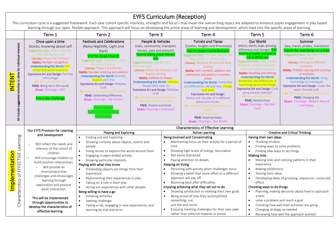## EYFS Curriculum (Reception)

This curriculum cycle is a suggested framework. Each year cohort specific interests, strengths and focus's may mean the overarching topics are adapted to enhance pupils engagement in play based learning through our open, flexible approach. This approach will focus on developing the prime areas of learning and development, which feed into the specific areas of learning.

|                                                                                            | Term 1                                                                                                                                                                                                                                                                                                                                                                                                                              | Term 2                                                                                                                                                                                                                                                                                                                                                                                                                                                                                                                                                                                                                                                                                                  | Term <sub>3</sub>                                                                                                                                                                                                                                                                                                                                                                                                                                                                                                                                |                                                                                                                                                                                                                                                                                                                                                                                                                                                                                                                                                       | Term 4                                                                                                                                                                                                                                                                                                                                                                                                                                                                                                                                                                                                                                                               |  | Term <sub>5</sub>                                                                                                                                                                                                                                                                                                                                                                                                                                                                                                                                      | Term 6                                                                                                                                                                                                                                                                                                                                                                                                                                                                                                               |
|--------------------------------------------------------------------------------------------|-------------------------------------------------------------------------------------------------------------------------------------------------------------------------------------------------------------------------------------------------------------------------------------------------------------------------------------------------------------------------------------------------------------------------------------|---------------------------------------------------------------------------------------------------------------------------------------------------------------------------------------------------------------------------------------------------------------------------------------------------------------------------------------------------------------------------------------------------------------------------------------------------------------------------------------------------------------------------------------------------------------------------------------------------------------------------------------------------------------------------------------------------------|--------------------------------------------------------------------------------------------------------------------------------------------------------------------------------------------------------------------------------------------------------------------------------------------------------------------------------------------------------------------------------------------------------------------------------------------------------------------------------------------------------------------------------------------------|-------------------------------------------------------------------------------------------------------------------------------------------------------------------------------------------------------------------------------------------------------------------------------------------------------------------------------------------------------------------------------------------------------------------------------------------------------------------------------------------------------------------------------------------------------|----------------------------------------------------------------------------------------------------------------------------------------------------------------------------------------------------------------------------------------------------------------------------------------------------------------------------------------------------------------------------------------------------------------------------------------------------------------------------------------------------------------------------------------------------------------------------------------------------------------------------------------------------------------------|--|--------------------------------------------------------------------------------------------------------------------------------------------------------------------------------------------------------------------------------------------------------------------------------------------------------------------------------------------------------------------------------------------------------------------------------------------------------------------------------------------------------------------------------------------------------|----------------------------------------------------------------------------------------------------------------------------------------------------------------------------------------------------------------------------------------------------------------------------------------------------------------------------------------------------------------------------------------------------------------------------------------------------------------------------------------------------------------------|
| to allow for individual interests<br><b>INTENT</b><br>activities<br>include suggested<br>₹ | Once upon a time<br>Stories, knowing about self.<br>Suggested texts: Three Little Pigs,<br>Little Red Riding Hood<br>Literacy: Phase 1 & 2 Phonics<br><b>Maths:</b> Number recognition<br>Understanding the World: Our<br>school and world around us<br><b>Expressive Art and Design: Painting</b><br>and Collage<br><b>RE:</b> Why are we special?<br>PSHE: Being me in the world<br>Music: Charanga - Me!<br>Five a day challenge | <b>Festivals and Celebrations</b><br>(Noisy Nightlife, Light and<br>Dark)<br>Visit to local Church<br>Suggested texts : Owl Babies, Jolly<br>Christmas Postman<br>Literacy: Phase 2 & 3 Phonics<br>Maths: Number ordering and addition<br><b>Understanding the World: Animals,</b><br>Seasons and time<br>Expressive Art and Design: Roleplay,<br>Craft<br>RE: Why do we celebrate Christmas?<br>PSHE: Celebrating Difference<br>Music: Charanga - My stories!<br>orest School<br>Owls nest/other bird:<br>hibernatior                                                                                                                                                                                  | People & Vehicles<br>(Jobs, community, transport,<br>heroes, past and present)<br>Parents talking about relevant<br><b>Suggested texts: Naughty Bus,</b><br><b>Whatever Next</b><br>Literacy: Phase 2 & 3 Phonics and<br><b>Caption Writing</b><br><b>Maths: Addition &amp; Shapes</b><br>Understanding the World: Vehicles,<br>People Who Help Us<br><b>Expressive Art and Design: Roleplay,</b><br>Craft<br><b>RE:</b> Why do we visit the Church?<br>Who was a friend of God?<br><b>PSHE: Dreams and Goals</b><br>Music: Charanga - Everyone! |                                                                                                                                                                                                                                                                                                                                                                                                                                                                                                                                                       | <b>Turrets and Tiaras</b><br>(Castles, Knights and Princesses)<br>Visit to Lewes Castle/Bodiam)<br>Suggested texts: The Kiss that Missed,<br>Zog, Castle non-fiction texts.<br>Literacy: Sentence Structure & Story<br>writing<br>Maths: teen numbers, addition and<br>subtraction and pattern in number,<br>shape<br><b>Understanding the World: Similarities</b><br>and differences, old and new, change<br>over time.<br><b>Expressive Art and Design:</b><br>Drama and role play of in different<br>places and stories.<br><b>RE:</b> Who did Jesus spend time with?<br>Faster<br>Meals with Jesus<br><b>PSHE:</b> Keeping Happy<br>Music: Charanga - Our World! |  | Our World<br>(places, plants, bugs, growing,<br>differences and changes) Visit<br>from bug/reptile specialist or<br>trip to BEDES zoo<br>Suggested texts : Jack and the<br>Beanstalk, Hungry Caterpillar,<br>What the Ladybird Heard.<br><b>Maths: Doubling and Halving</b><br><b>Understanding the World:</b><br>Similarities and differences in<br>how things grow and change<br><b>Expressive Art and Design: Craft</b><br>using natural materials.<br>RE: New life all around<br><b>PSHE: Relationships</b><br>Music: Charanga - Big Bear<br>Funk! | Summer<br>(sea, travel, pirates, transition)<br>Trip to the seaside/go on a train<br>Suggested texts: The Night Pirates,<br>Pirate Pete<br>Literacy: Writing for different<br>purposes.<br><b>Maths:</b> Problem solving and counting<br>in multiples<br><b>Understanding the World: Using</b><br>technology to investigate<br><b>Expressive Art and Design: Under the</b><br>water themed craft.<br><b>RE:</b> Why do we have celebrations?<br>PSHE: Changing Me<br>Music: Charanga - Reflect, Rewind<br>and Replay |
|                                                                                            | Our EYFS Provision for Learning                                                                                                                                                                                                                                                                                                                                                                                                     |                                                                                                                                                                                                                                                                                                                                                                                                                                                                                                                                                                                                                                                                                                         |                                                                                                                                                                                                                                                                                                                                                                                                                                                                                                                                                  | <b>Characteristics of Effective Learning</b><br><b>Creative and Critical Thinking</b><br><b>Active Learning</b>                                                                                                                                                                                                                                                                                                                                                                                                                                       |                                                                                                                                                                                                                                                                                                                                                                                                                                                                                                                                                                                                                                                                      |  |                                                                                                                                                                                                                                                                                                                                                                                                                                                                                                                                                        |                                                                                                                                                                                                                                                                                                                                                                                                                                                                                                                      |
|                                                                                            | and Development                                                                                                                                                                                                                                                                                                                                                                                                                     | Playing and Exploring<br>Finding out and Exploring<br>$\bullet$                                                                                                                                                                                                                                                                                                                                                                                                                                                                                                                                                                                                                                         |                                                                                                                                                                                                                                                                                                                                                                                                                                                                                                                                                  | Being Involved and Concentrating                                                                                                                                                                                                                                                                                                                                                                                                                                                                                                                      |                                                                                                                                                                                                                                                                                                                                                                                                                                                                                                                                                                                                                                                                      |  | Having their own ideas                                                                                                                                                                                                                                                                                                                                                                                                                                                                                                                                 |                                                                                                                                                                                                                                                                                                                                                                                                                                                                                                                      |
| EFFECTIVE Learning<br><b>Implementation</b><br>$\sigma$<br>Characteristics                 | Will reflect the needs and<br>interests of the cohort of<br>children.<br>Will encourage children to<br>build positive relationships.<br>Will provide an<br>environment that<br>challenges and encourages<br>learning through<br>exploration and positive<br>adult interaction.                                                                                                                                                      | Showing curiosity about objects, events and<br>$\bullet$<br>people<br>Using senses to explore the world around them<br>$\bullet$<br>Engaging in open-ended activity<br>$\bullet$<br>Showing particular interests<br>$\bullet$<br>Playing with what they know<br>Pretending objects are things from their<br>$\bullet$<br>experience<br>Representing their experiences in play<br>$\bullet$<br>Taking on a role in their play<br>$\bullet$<br>Acting out experiences with other people<br>$\bullet$<br>Being willing to have a go<br>Initiating activities<br>$\bullet$<br>Seeking challenge<br>$\bullet$<br>Taking a risk, engaging in new experiences, and<br>$\bullet$<br>learning by trial and error |                                                                                                                                                                                                                                                                                                                                                                                                                                                                                                                                                  | Maintaining focus on their activity for a period of<br>$\bullet$<br>time<br>Showing high levels of energy, fascination<br>$\bullet$<br>Not easily distracted<br>$\bullet$<br>Paying attention to details<br>$\bullet$<br>Keeping on trying<br>Persisting with activity when challenges occur<br>$\bullet$<br>Showing a belief that more effort or a different<br>approach will pay off<br>Bouncing back after difficulties<br>$\bullet$<br>Enjoying achieving what they set out to do<br>Showing satisfaction in meeting their own goals<br>$\bullet$ |                                                                                                                                                                                                                                                                                                                                                                                                                                                                                                                                                                                                                                                                      |  | Thinking of ideas<br>$\bullet$<br>Finding ways to solve problems<br>$\bullet$<br>$\bullet$<br>Finding new ways to do things<br><b>Making links</b><br>Making links and noticing patterns in their<br>$\bullet$<br>experience<br>Making predictions<br>$\bullet$<br>Testing their ideas<br>$\bullet$<br>Developing ideas of grouping, sequences, cause and<br>effect<br>Choosing ways to do things<br>Planning, making decisions about how to approach<br>$\bullet$<br>a task,                                                                          |                                                                                                                                                                                                                                                                                                                                                                                                                                                                                                                      |
|                                                                                            | This will be implemented<br>through opportunities to<br>develop the characteristics of<br>effective learning.                                                                                                                                                                                                                                                                                                                       |                                                                                                                                                                                                                                                                                                                                                                                                                                                                                                                                                                                                                                                                                                         |                                                                                                                                                                                                                                                                                                                                                                                                                                                                                                                                                  | Being proud of how they accomplished<br>$\bullet$<br>something-not<br>just the end result<br>Enjoying meeting challenges for their own sake<br>$\bullet$<br>rather than external rewards or praise                                                                                                                                                                                                                                                                                                                                                    |                                                                                                                                                                                                                                                                                                                                                                                                                                                                                                                                                                                                                                                                      |  | solve a problem and reach a goal<br>$\bullet$<br>Checking how well their activities are going<br>Changing strategy as needed<br>$\bullet$<br>Reviewing how well the approach worked<br>$\bullet$                                                                                                                                                                                                                                                                                                                                                       |                                                                                                                                                                                                                                                                                                                                                                                                                                                                                                                      |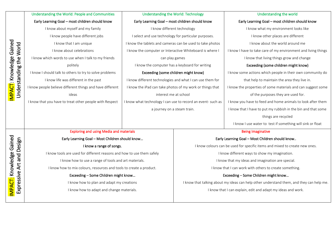|                                                     | Understanding the World: People and Communities                        | <b>Understanding the World: Technology</b>                   |                                                                                          | Understanding the world                                        |  |  |
|-----------------------------------------------------|------------------------------------------------------------------------|--------------------------------------------------------------|------------------------------------------------------------------------------------------|----------------------------------------------------------------|--|--|
|                                                     | Early Learning Goal - most children should know                        | Early Learning Goal - most children should know              |                                                                                          | Early Learning Goal - most children should know                |  |  |
|                                                     | I know about myself and my family                                      | I know different technology                                  |                                                                                          | I know what my environment looks like                          |  |  |
|                                                     | I know people have different jobs                                      | I select and use technology for particular purposes.         |                                                                                          | I know other places are different                              |  |  |
|                                                     | I know that I am unique                                                | I know the tablets and cameras can be used to take photos    |                                                                                          | I know about the world around me                               |  |  |
|                                                     | I know about celebrations                                              | I know the computer or Interactive Whiteboard is where I     |                                                                                          | I know I have to take care of my environment and living things |  |  |
|                                                     | I know which words to use when I talk to my friends                    | can play games                                               |                                                                                          | I know that living things grow and change                      |  |  |
| IMPACT: Knowledge Gained<br>Understanding the World | politely                                                               | I know the computer has a keyboard for writing               |                                                                                          | Exceeding (some children might know)                           |  |  |
|                                                     | I know I should talk to others to try to solve problems                | Exceeding (some children might know)                         |                                                                                          | I know some actions which people in their own community do     |  |  |
|                                                     | I know life was different in the past                                  | I know different technologies and what I can use them for    |                                                                                          | that help to maintain the area they live in.                   |  |  |
|                                                     | I know people believe different things and have different              | I know the iPad can take photos of my work or things that    |                                                                                          | I know the properties of some materials and can suggest some   |  |  |
|                                                     | ideas                                                                  | interest me at school                                        |                                                                                          | of the purposes they are used for.                             |  |  |
|                                                     | I know that you have to treat other people with Respect                | I know what technology I can use to record an event- such as |                                                                                          | I know you have to feed and home animals to look after them    |  |  |
|                                                     |                                                                        | a journey on a steam train.                                  |                                                                                          | I know that I have to put my rubbish in the bin and that some  |  |  |
|                                                     |                                                                        |                                                              |                                                                                          | things are recycled                                            |  |  |
|                                                     |                                                                        |                                                              |                                                                                          | I know I use water to test if something will sink or float     |  |  |
|                                                     | <b>Exploring and using Media and materials</b>                         |                                                              | <b>Being Imaginative</b>                                                                 |                                                                |  |  |
|                                                     | Early Learning Goal - Most Children should know                        |                                                              | Early Learning Goal - Most Children should know                                          |                                                                |  |  |
| and Design                                          | I know a range of songs.                                               |                                                              | I know colours can be used for specific items and mixed to create new ones.              |                                                                |  |  |
|                                                     | I know tools are used for different reasons and how to use them safely |                                                              | I know different ways to show my imagination.                                            |                                                                |  |  |
| Art                                                 | I know how to use a range of tools and art materials.                  |                                                              | I know that my ideas and imagination are special.                                        |                                                                |  |  |
|                                                     | I know how to mix colours, resources and tools to create a product.    |                                                              | I know that I can work with others to create something.                                  |                                                                |  |  |
|                                                     | Exceeding - Some Children might know                                   |                                                              | Exceeding - Some Children might know                                                     |                                                                |  |  |
| <b>IMPACT:</b> Knowledge Gained<br>Expressive       | I know how to plan and adapt my creations                              |                                                              | I know that talking about my ideas can help other understand them, and they can help me. |                                                                |  |  |
|                                                     | I know how to adapt and change materials.                              |                                                              | I know that I can explain, edit and adapt my ideas and work.                             |                                                                |  |  |
|                                                     |                                                                        |                                                              |                                                                                          |                                                                |  |  |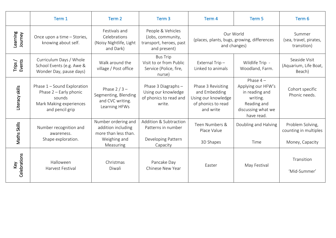|                     | Term 1                                                                                                        | Term 2                                                                                         | Term <sub>3</sub>                                                                 | Term 4                                                                                        | Term <sub>5</sub>                                                                                                 | Term 6                                                       |
|---------------------|---------------------------------------------------------------------------------------------------------------|------------------------------------------------------------------------------------------------|-----------------------------------------------------------------------------------|-----------------------------------------------------------------------------------------------|-------------------------------------------------------------------------------------------------------------------|--------------------------------------------------------------|
| Learning<br>Journey | Once upon a time - Stories,<br>knowing about self.                                                            | Festivals and<br>Celebrations<br>(Noisy Nightlife, Light<br>and Dark)                          | People & Vehicles<br>(Jobs, community,<br>transport, heroes, past<br>and present) | Our World<br>(places, plants, bugs, growing, differences<br>and changes)                      |                                                                                                                   | Summer<br>(sea, travel, pirates,<br>transition)              |
| Trips/<br>Events    | Curriculum Days / Whole<br>School Events (e.g. Awe &<br>Wonder Day, pause days)                               | Walk around the<br>village / Post office                                                       | <b>Bus Trip</b><br>Visit to or from Public<br>Service (Police, fire,<br>nurse)    | External Trip-<br>Linked to animals                                                           | Wildlife Trip -<br>Woodland, Farm.                                                                                | Seaside Visit<br>(Aquarium, Life Boat,<br>Beach)             |
| Literacy skills     | Phase 1 - Sound Exploration<br>Phase 2 - Early phonic<br>sounds<br>Mark Making experiences<br>and pencil grip | Phase $2/3 -$<br>Segmenting, Blending<br>and CVC writing.<br>Learning HFWs                     | Phase 3 Diagraphs -<br>Using our knowledge<br>of phonics to read and<br>write.    | Phase 3 Revisiting<br>and Embedding<br>Using our knowledge<br>of phonics to read<br>and write | Phase $4-$<br>Applying our HFW's<br>in reading and<br>writing.<br>Reading and<br>discussing what we<br>have read. | Cohort specific<br>Phonic needs.                             |
| Maths Skills        | Number recognition and<br>awareness.<br>Shape exploration.                                                    | Number ordering and<br>addition including<br>more than less than.<br>Weighing and<br>Measuring | Addition & Subtraction<br>Patterns in number<br>Developing Pattern<br>Capacity    | Teen Numbers &<br>Place Value<br>3D Shapes                                                    | Doubling and Halving<br>Time                                                                                      | Problem Solving,<br>counting in multiples<br>Money, Capacity |
| Celebrations<br>Key | Halloween<br><b>Harvest Festival</b>                                                                          | Christmas<br>Diwali                                                                            | Pancake Day<br>Chinese New Year                                                   | Easter                                                                                        | May Festival                                                                                                      | Transition<br>'Mid-Summer'                                   |